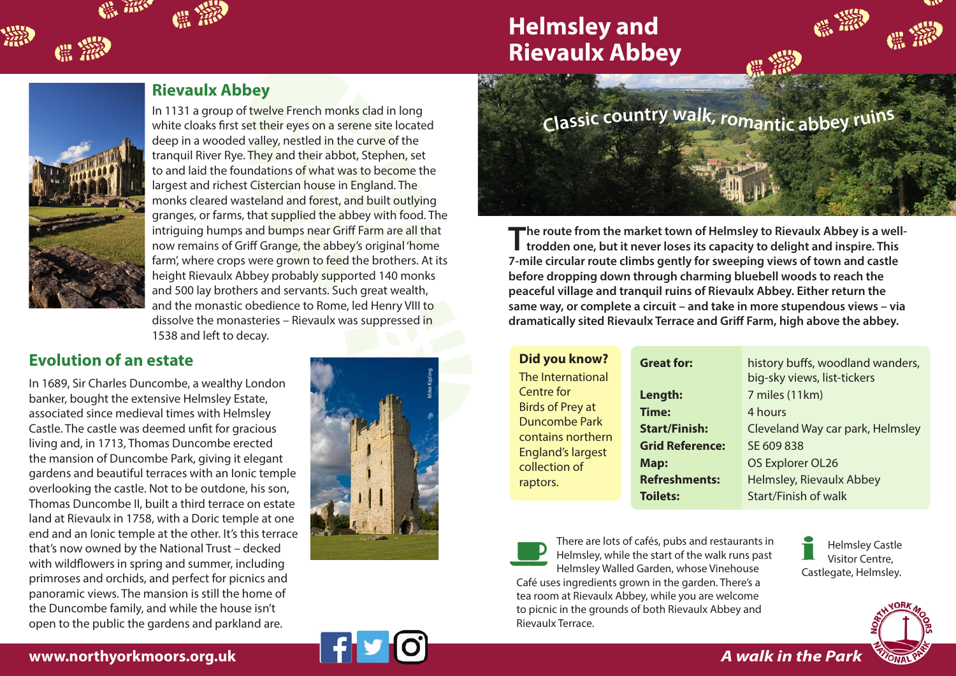# **Helmsley and Rievaulx Abbey**



▒

#### **Rievaulx Abbey**

In 1131 a group of twelve French monks clad in long white cloaks first set their eyes on a serene site located deep in a wooded valley, nestled in the curve of the tranquil River Rye. They and their abbot, Stephen, set to and laid the foundations of what was to become the largest and richest Cistercian house in England. The monks cleared wasteland and forest, and built outlying granges, or farms, that supplied the abbey with food. The intriguing humps and bumps near Griff Farm are all that now remains of Griff Grange, the abbey's original 'home farm', where crops were grown to feed the brothers. At its height Rievaulx Abbey probably supported 140 monks and 500 lay brothers and servants. Such great wealth, and the monastic obedience to Rome, led Henry VIII to dissolve the monasteries – Rievaulx was suppressed in 1538 and left to decay.

#### **Evolution of an estate**

In 1689, Sir Charles Duncombe, a wealthy London banker, bought the extensive Helmsley Estate, associated since medieval times with Helmsley Castle. The castle was deemed unfit for gracious living and, in 1713, Thomas Duncombe erected the mansion of Duncombe Park, giving it elegant gardens and beautiful terraces with an Ionic temple overlooking the castle. Not to be outdone, his son, Thomas Duncombe II, built a third terrace on estate land at Rievaulx in 1758, with a Doric temple at one end and an Ionic temple at the other. It's this terrace that's now owned by the National Trust – decked with wildflowers in spring and summer, including primroses and orchids, and perfect for picnics and panoramic views. The mansion is still the home of the Duncombe family, and while the house isn't open to the public the gardens and parkland are.





**The route from the market town of Helmsley to Rievaulx Abbey is a welltrodden one, but it never loses its capacity to delight and inspire. This 7-mile circular route climbs gently for sweeping views of town and castle before dropping down through charming bluebell woods to reach the peaceful village and tranquil ruins of Rievaulx Abbey. Either return the same way, or complete a circuit – and take in more stupendous views – via dramatically sited Rievaulx Terrace and Griff Farm, high above the abbey.**

| <b>Great for:</b>      | history buffs, woodland wanders,<br>big-sky views, list-tickers |
|------------------------|-----------------------------------------------------------------|
| Length:                | 7 miles (11km)                                                  |
| Time:                  | 4 hours                                                         |
| <b>Start/Finish:</b>   | Cleveland Way car park, Helmsley                                |
| <b>Grid Reference:</b> | SE 609 838                                                      |
| Map:                   | OS Explorer OL26                                                |
| <b>Refreshments:</b>   | Helmsley, Rievaulx Abbey                                        |
| <b>Toilets:</b>        | Start/Finish of walk                                            |
|                        |                                                                 |



There are lots of cafés, pubs and restaurants in Helmsley, while the start of the walk runs past Helmsley Walled Garden, whose Vinehouse

Café uses ingredients grown in the garden. There's a tea room at Rievaulx Abbey, while you are welcome to picnic in the grounds of both Rievaulx Abbey and Rievaulx Terrace.

Helmsley Castle Visitor Centre, Castlegate, Helmsley.



#### **www.northyorkmoors.org.uk**